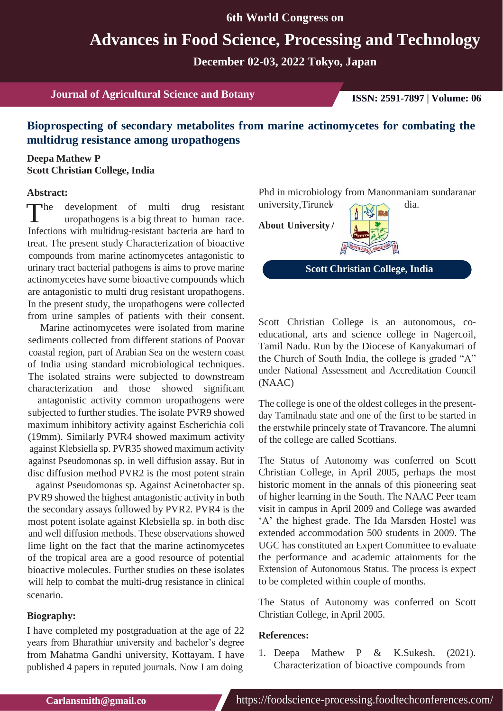**6th World Congress on**

# **Advances in Food Science, Processing and Technology**

**December 02-03, 2022 Tokyo, Japan**

**Journal of Agricultural Science and Botany ISSN: 2591-7897 | Volume: 06**

## **Bioprospecting of secondary metabolites from marine actinomycetes for combating the multidrug resistance among uropathogens**

### **Deepa Mathew P Scott Christian College, India**

#### **Abstract:**

The development of multi drug resistant university, Tirune with multidrug resistant to human race.<br>Infections with multidrug resistant because are hered to **About University** he development of multi drug resistant Infections with multidrug-resistant bacteria are hard to treat. The present study Characterization of bioactive compounds from marine actinomycetes antagonistic to urinary tract bacterial pathogens is aims to prove marine actinomycetes have some bioactive compounds which are antagonistic to multi drug resistant uropathogens. In the present study, the uropathogens were collected from urine samples of patients with their consent.

Marine actinomycetes were isolated from marine sediments collected from different stations of Poovar coastal region, part of Arabian Sea on the western coast of India using standard microbiological techniques. The isolated strains were subjected to downstream characterization and those showed significant

antagonistic activity common uropathogens were subjected to further studies. The isolate PVR9 showed maximum inhibitory activity against Escherichia coli (19mm). Similarly PVR4 showed maximum activity against Klebsiella sp. PVR35 showed maximum activity against Pseudomonas sp. in well diffusion assay. But in disc diffusion method PVR2 is the most potent strain

against Pseudomonas sp. Against Acinetobacter sp. PVR9 showed the highest antagonistic activity in both the secondary assays followed by PVR2. PVR4 is the most potent isolate against Klebsiella sp. in both disc and well diffusion methods. These observations showed lime light on the fact that the marine actinomycetes of the tropical area are a good resource of potential bioactive molecules. Further studies on these isolates will help to combat the multi-drug resistance in clinical scenario.

#### **Biography:**

I have completed my postgraduation at the age of 22 years from Bharathiar university and bachelor's degree from Mahatma Gandhi university, Kottayam. I have published 4 papers in reputed journals. Now I am doing

Phd in microbiology from Manonmaniam sundaranar university, Tirunel dia.

**About University**



**Scott Christian College, India**

Scott Christian College is an autonomous, coeducational, arts and science college in Nagercoil, Tamil Nadu. Run by the Diocese of Kanyakumari of the Church of South India, the college is graded "A" under National Assessment and Accreditation Council (NAAC)

The college is one of the oldest colleges in the presentday Tamilnadu state and one of the first to be started in the erstwhile princely state of Travancore. The alumni of the college are called Scottians.

The Status of Autonomy was conferred on Scott Christian College, in April 2005, perhaps the most historic moment in the annals of this pioneering seat of higher learning in the South. The NAAC Peer team visit in campus in April 2009 and College was awarded 'A' the highest grade. The Ida Marsden Hostel was extended accommodation 500 students in 2009. The UGC has constituted an Expert Committee to evaluate the performance and academic attainments for the Extension of Autonomous Status. The process is expect to be completed within couple of months.

The Status of Autonomy was conferred on Scott Christian College, in April 2005.

#### **References:**

1. Deepa Mathew P & K.Sukesh. (2021). Characterization of bioactive compounds from